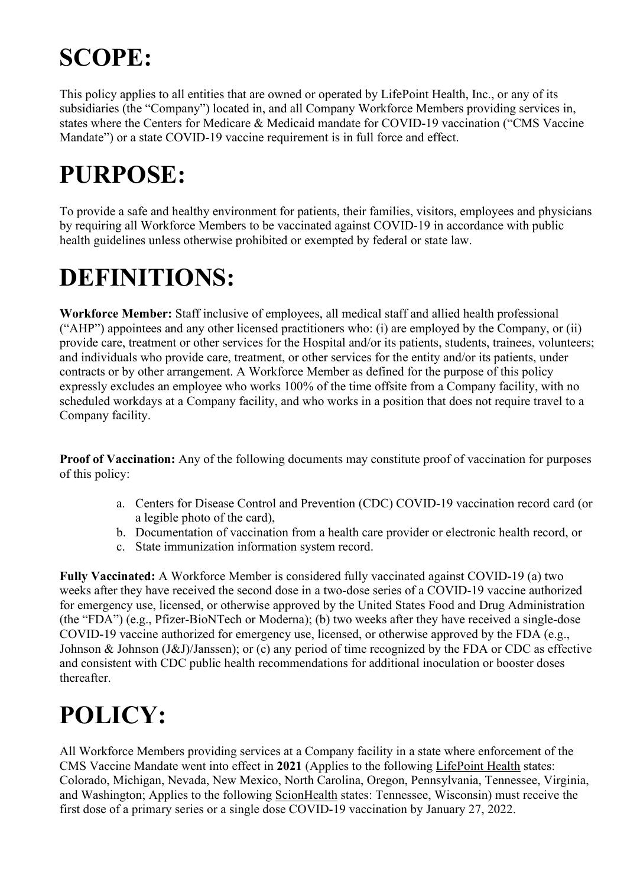# **SCOPE:**

This policy applies to all entities that are owned or operated by LifePoint Health, Inc., or any of its subsidiaries (the "Company") located in, and all Company Workforce Members providing services in, states where the Centers for Medicare & Medicaid mandate for COVID-19 vaccination ("CMS Vaccine Mandate") or a state COVID-19 vaccine requirement is in full force and effect.

### **PURPOSE:**

To provide a safe and healthy environment for patients, their families, visitors, employees and physicians by requiring all Workforce Members to be vaccinated against COVID-19 in accordance with public health guidelines unless otherwise prohibited or exempted by federal or state law.

### **DEFINITIONS:**

**Workforce Member:** Staff inclusive of employees, all medical staff and allied health professional ("AHP") appointees and any other licensed practitioners who: (i) are employed by the Company, or (ii) provide care, treatment or other services for the Hospital and/or its patients, students, trainees, volunteers; and individuals who provide care, treatment, or other services for the entity and/or its patients, under contracts or by other arrangement. A Workforce Member as defined for the purpose of this policy expressly excludes an employee who works 100% of the time offsite from a Company facility, with no scheduled workdays at a Company facility, and who works in a position that does not require travel to a Company facility.

**Proof of Vaccination:** Any of the following documents may constitute proof of vaccination for purposes of this policy:

- a. Centers for Disease Control and Prevention (CDC) COVID-19 vaccination record card (or a legible photo of the card),
- b. Documentation of vaccination from a health care provider or electronic health record, or
- c. State immunization information system record.

**Fully Vaccinated:** A Workforce Member is considered fully vaccinated against COVID-19 (a) two weeks after they have received the second dose in a two-dose series of a COVID-19 vaccine authorized for emergency use, licensed, or otherwise approved by the United States Food and Drug Administration (the "FDA") (e.g., Pfizer-BioNTech or Moderna); (b) two weeks after they have received a single-dose COVID-19 vaccine authorized for emergency use, licensed, or otherwise approved by the FDA (e.g., Johnson & Johnson (J&J)/Janssen); or (c) any period of time recognized by the FDA or CDC as effective and consistent with CDC public health recommendations for additional inoculation or booster doses thereafter.

## **POLICY:**

All Workforce Members providing services at a Company facility in a state where enforcement of the CMS Vaccine Mandate went into effect in **2021** (Applies to the following LifePoint Health states: Colorado, Michigan, Nevada, New Mexico, North Carolina, Oregon, Pennsylvania, Tennessee, Virginia, and Washington; Applies to the following ScionHealth states: Tennessee, Wisconsin) must receive the first dose of a primary series or a single dose COVID-19 vaccination by January 27, 2022.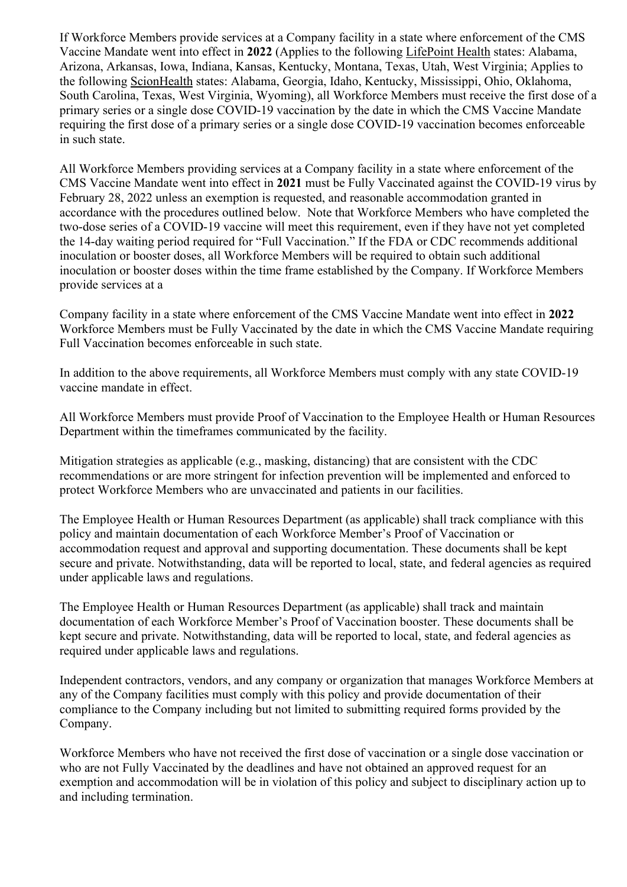If Workforce Members provide services at a Company facility in a state where enforcement of the CMS Vaccine Mandate went into effect in **2022** (Applies to the following LifePoint Health states: Alabama, Arizona, Arkansas, Iowa, Indiana, Kansas, Kentucky, Montana, Texas, Utah, West Virginia; Applies to the following ScionHealth states: Alabama, Georgia, Idaho, Kentucky, Mississippi, Ohio, Oklahoma, South Carolina, Texas, West Virginia, Wyoming), all Workforce Members must receive the first dose of a primary series or a single dose COVID-19 vaccination by the date in which the CMS Vaccine Mandate requiring the first dose of a primary series or a single dose COVID-19 vaccination becomes enforceable in such state.

All Workforce Members providing services at a Company facility in a state where enforcement of the CMS Vaccine Mandate went into effect in **2021** must be Fully Vaccinated against the COVID-19 virus by February 28, 2022 unless an exemption is requested, and reasonable accommodation granted in accordance with the procedures outlined below. Note that Workforce Members who have completed the two-dose series of a COVID-19 vaccine will meet this requirement, even if they have not yet completed the 14-day waiting period required for "Full Vaccination." If the FDA or CDC recommends additional inoculation or booster doses, all Workforce Members will be required to obtain such additional inoculation or booster doses within the time frame established by the Company. If Workforce Members provide services at a

Company facility in a state where enforcement of the CMS Vaccine Mandate went into effect in **2022** Workforce Members must be Fully Vaccinated by the date in which the CMS Vaccine Mandate requiring Full Vaccination becomes enforceable in such state.

In addition to the above requirements, all Workforce Members must comply with any state COVID-19 vaccine mandate in effect.

All Workforce Members must provide Proof of Vaccination to the Employee Health or Human Resources Department within the timeframes communicated by the facility.

Mitigation strategies as applicable (e.g., masking, distancing) that are consistent with the CDC recommendations or are more stringent for infection prevention will be implemented and enforced to protect Workforce Members who are unvaccinated and patients in our facilities.

The Employee Health or Human Resources Department (as applicable) shall track compliance with this policy and maintain documentation of each Workforce Member's Proof of Vaccination or accommodation request and approval and supporting documentation. These documents shall be kept secure and private. Notwithstanding, data will be reported to local, state, and federal agencies as required under applicable laws and regulations.

The Employee Health or Human Resources Department (as applicable) shall track and maintain documentation of each Workforce Member's Proof of Vaccination booster. These documents shall be kept secure and private. Notwithstanding, data will be reported to local, state, and federal agencies as required under applicable laws and regulations.

Independent contractors, vendors, and any company or organization that manages Workforce Members at any of the Company facilities must comply with this policy and provide documentation of their compliance to the Company including but not limited to submitting required forms provided by the Company.

Workforce Members who have not received the first dose of vaccination or a single dose vaccination or who are not Fully Vaccinated by the deadlines and have not obtained an approved request for an exemption and accommodation will be in violation of this policy and subject to disciplinary action up to and including termination.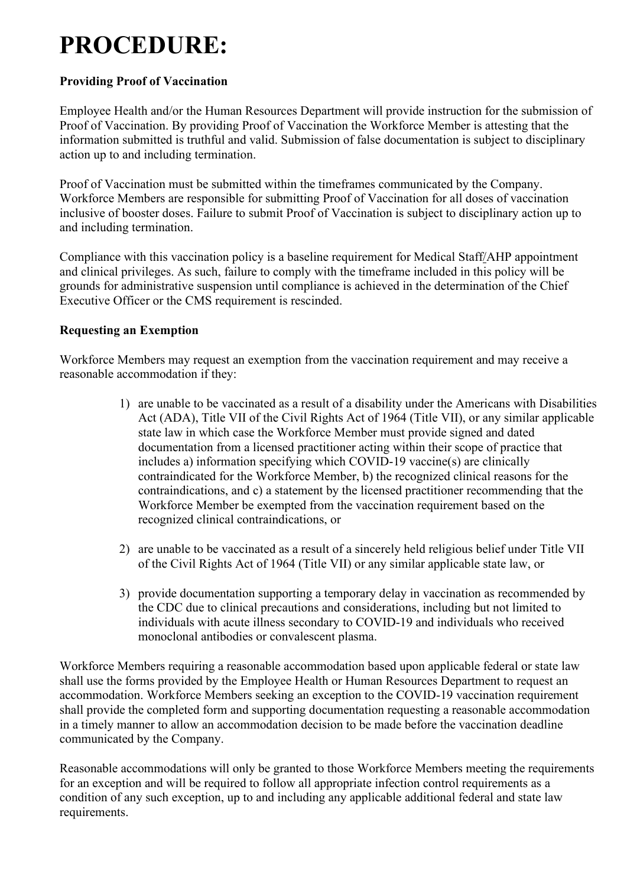### **PROCEDURE:**

#### **Providing Proof of Vaccination**

Employee Health and/or the Human Resources Department will provide instruction for the submission of Proof of Vaccination. By providing Proof of Vaccination the Workforce Member is attesting that the information submitted is truthful and valid. Submission of false documentation is subject to disciplinary action up to and including termination.

Proof of Vaccination must be submitted within the timeframes communicated by the Company. Workforce Members are responsible for submitting Proof of Vaccination for all doses of vaccination inclusive of booster doses. Failure to submit Proof of Vaccination is subject to disciplinary action up to and including termination.

Compliance with this vaccination policy is a baseline requirement for Medical Staff/AHP appointment and clinical privileges. As such, failure to comply with the timeframe included in this policy will be grounds for administrative suspension until compliance is achieved in the determination of the Chief Executive Officer or the CMS requirement is rescinded.

#### **Requesting an Exemption**

Workforce Members may request an exemption from the vaccination requirement and may receive a reasonable accommodation if they:

- 1) are unable to be vaccinated as a result of a disability under the Americans with Disabilities Act (ADA), Title VII of the Civil Rights Act of 1964 (Title VII), or any similar applicable state law in which case the Workforce Member must provide signed and dated documentation from a licensed practitioner acting within their scope of practice that includes a) information specifying which COVID-19 vaccine(s) are clinically contraindicated for the Workforce Member, b) the recognized clinical reasons for the contraindications, and c) a statement by the licensed practitioner recommending that the Workforce Member be exempted from the vaccination requirement based on the recognized clinical contraindications, or
- 2) are unable to be vaccinated as a result of a sincerely held religious belief under Title VII of the Civil Rights Act of 1964 (Title VII) or any similar applicable state law, or
- 3) provide documentation supporting a temporary delay in vaccination as recommended by the CDC due to clinical precautions and considerations, including but not limited to individuals with acute illness secondary to COVID-19 and individuals who received monoclonal antibodies or convalescent plasma.

Workforce Members requiring a reasonable accommodation based upon applicable federal or state law shall use the forms provided by the Employee Health or Human Resources Department to request an accommodation. Workforce Members seeking an exception to the COVID-19 vaccination requirement shall provide the completed form and supporting documentation requesting a reasonable accommodation in a timely manner to allow an accommodation decision to be made before the vaccination deadline communicated by the Company.

Reasonable accommodations will only be granted to those Workforce Members meeting the requirements for an exception and will be required to follow all appropriate infection control requirements as a condition of any such exception, up to and including any applicable additional federal and state law requirements.